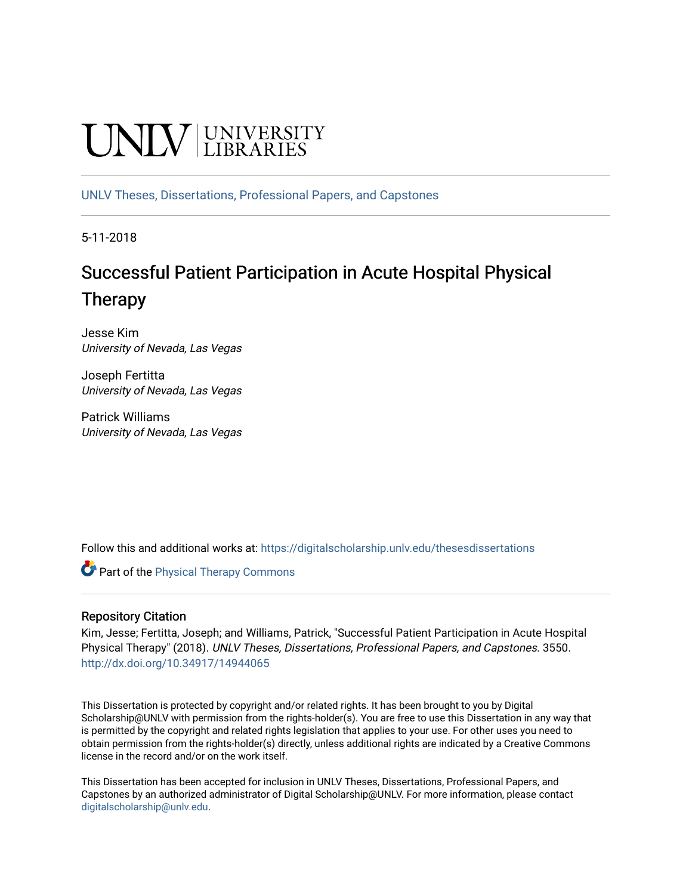# **UNIVERSITY**

[UNLV Theses, Dissertations, Professional Papers, and Capstones](https://digitalscholarship.unlv.edu/thesesdissertations)

5-11-2018

## Successful Patient Participation in Acute Hospital Physical Therapy

Jesse Kim University of Nevada, Las Vegas

Joseph Fertitta University of Nevada, Las Vegas

Patrick Williams University of Nevada, Las Vegas

Follow this and additional works at: [https://digitalscholarship.unlv.edu/thesesdissertations](https://digitalscholarship.unlv.edu/thesesdissertations?utm_source=digitalscholarship.unlv.edu%2Fthesesdissertations%2F3550&utm_medium=PDF&utm_campaign=PDFCoverPages)

**Part of the [Physical Therapy Commons](http://network.bepress.com/hgg/discipline/754?utm_source=digitalscholarship.unlv.edu%2Fthesesdissertations%2F3550&utm_medium=PDF&utm_campaign=PDFCoverPages)** 

## Repository Citation

Kim, Jesse; Fertitta, Joseph; and Williams, Patrick, "Successful Patient Participation in Acute Hospital Physical Therapy" (2018). UNLV Theses, Dissertations, Professional Papers, and Capstones. 3550. <http://dx.doi.org/10.34917/14944065>

This Dissertation is protected by copyright and/or related rights. It has been brought to you by Digital Scholarship@UNLV with permission from the rights-holder(s). You are free to use this Dissertation in any way that is permitted by the copyright and related rights legislation that applies to your use. For other uses you need to obtain permission from the rights-holder(s) directly, unless additional rights are indicated by a Creative Commons license in the record and/or on the work itself.

This Dissertation has been accepted for inclusion in UNLV Theses, Dissertations, Professional Papers, and Capstones by an authorized administrator of Digital Scholarship@UNLV. For more information, please contact [digitalscholarship@unlv.edu](mailto:digitalscholarship@unlv.edu).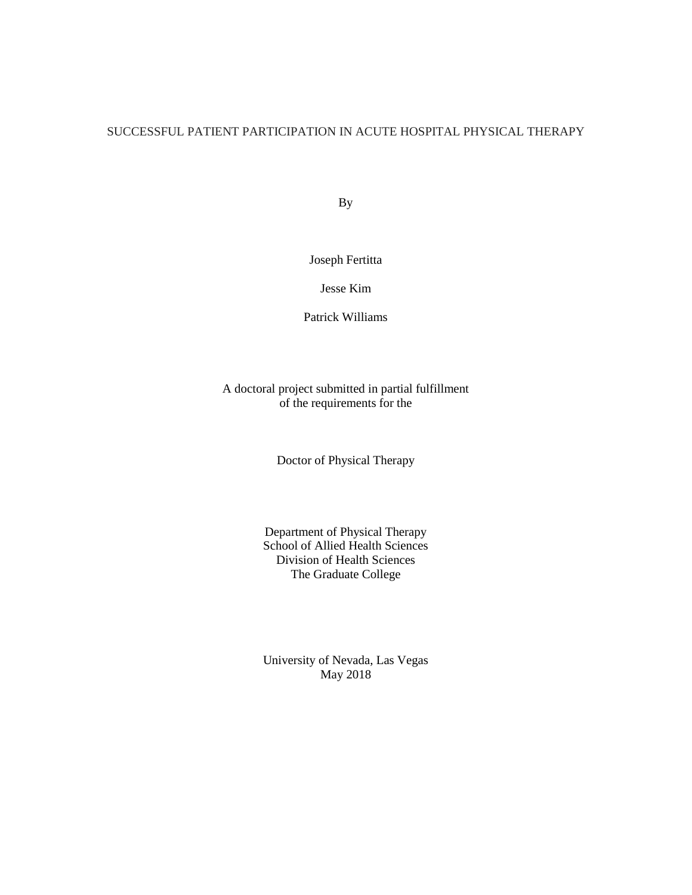## SUCCESSFUL PATIENT PARTICIPATION IN ACUTE HOSPITAL PHYSICAL THERAPY

By

Joseph Fertitta

Jesse Kim

Patrick Williams

A doctoral project submitted in partial fulfillment of the requirements for the

Doctor of Physical Therapy

Department of Physical Therapy School of Allied Health Sciences Division of Health Sciences The Graduate College

University of Nevada, Las Vegas May 2018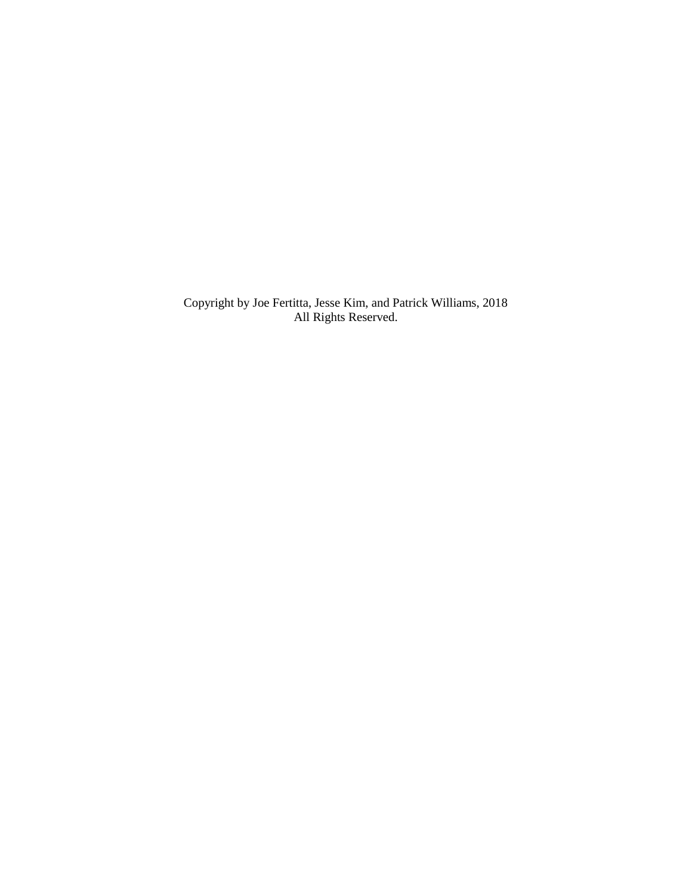Copyright by Joe Fertitta, Jesse Kim, and Patrick Williams, 2018 All Rights Reserved.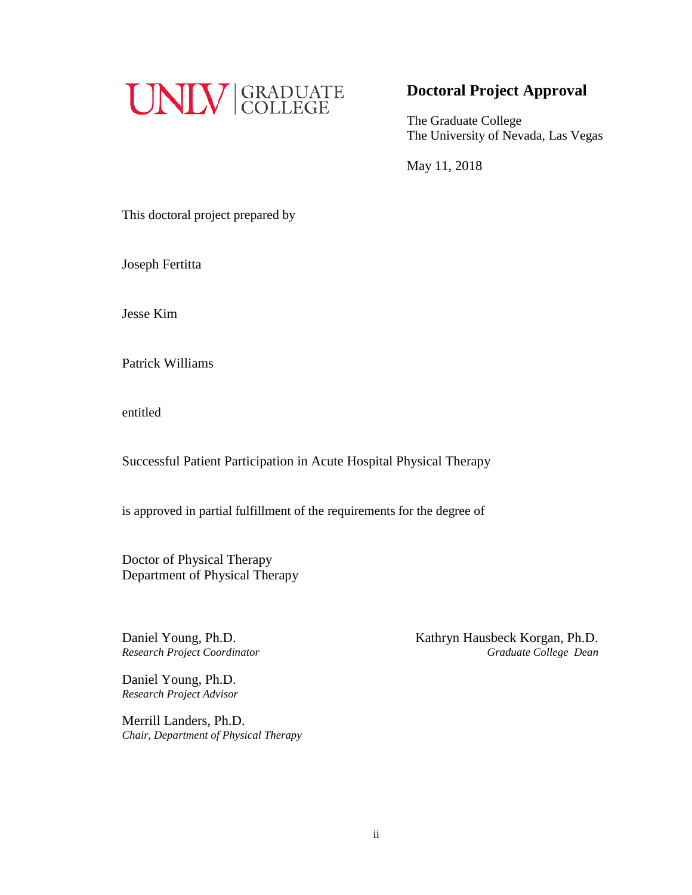

## **Doctoral Project Approval**

The Graduate College The University of Nevada, Las Vegas

May 11, 2018

This doctoral project prepared by

Joseph Fertitta

Jesse Kim

Patrick Williams

entitled

Successful Patient Participation in Acute Hospital Physical Therapy

is approved in partial fulfillment of the requirements for the degree of

Doctor of Physical Therapy Department of Physical Therapy

Daniel Young, Ph.D.<br> **Kathryn Hausbeck Korgan, Ph.D.** *Research Project Coordinator Graduate College Dean*

Daniel Young, Ph.D. *Research Project Advisor*

Merrill Landers, Ph.D. *Chair, Department of Physical Therapy*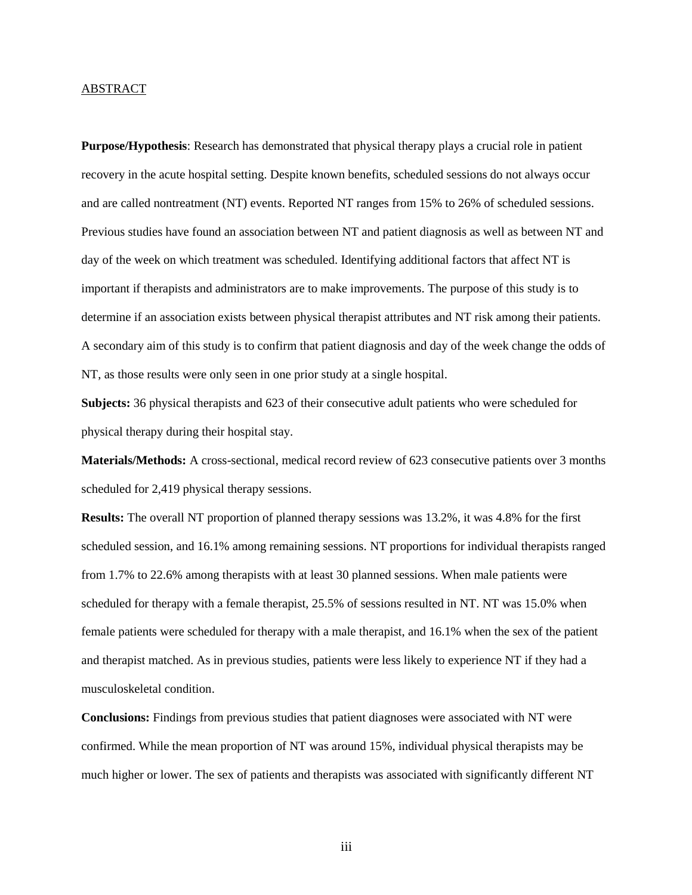#### ABSTRACT

**Purpose/Hypothesis**: Research has demonstrated that physical therapy plays a crucial role in patient recovery in the acute hospital setting. Despite known benefits, scheduled sessions do not always occur and are called nontreatment (NT) events. Reported NT ranges from 15% to 26% of scheduled sessions. Previous studies have found an association between NT and patient diagnosis as well as between NT and day of the week on which treatment was scheduled. Identifying additional factors that affect NT is important if therapists and administrators are to make improvements. The purpose of this study is to determine if an association exists between physical therapist attributes and NT risk among their patients. A secondary aim of this study is to confirm that patient diagnosis and day of the week change the odds of NT, as those results were only seen in one prior study at a single hospital.

**Subjects:** 36 physical therapists and 623 of their consecutive adult patients who were scheduled for physical therapy during their hospital stay.

**Materials/Methods:** A cross-sectional, medical record review of 623 consecutive patients over 3 months scheduled for 2,419 physical therapy sessions.

**Results:** The overall NT proportion of planned therapy sessions was 13.2%, it was 4.8% for the first scheduled session, and 16.1% among remaining sessions. NT proportions for individual therapists ranged from 1.7% to 22.6% among therapists with at least 30 planned sessions. When male patients were scheduled for therapy with a female therapist, 25.5% of sessions resulted in NT. NT was 15.0% when female patients were scheduled for therapy with a male therapist, and 16.1% when the sex of the patient and therapist matched. As in previous studies, patients were less likely to experience NT if they had a musculoskeletal condition.

**Conclusions:** Findings from previous studies that patient diagnoses were associated with NT were confirmed. While the mean proportion of NT was around 15%, individual physical therapists may be much higher or lower. The sex of patients and therapists was associated with significantly different NT

iii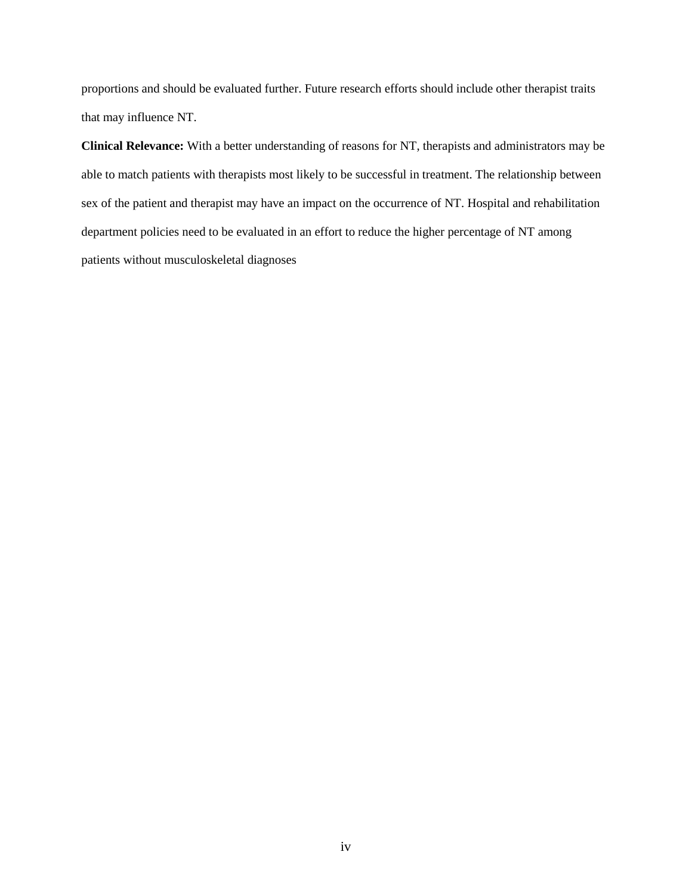proportions and should be evaluated further. Future research efforts should include other therapist traits that may influence NT.

**Clinical Relevance:** With a better understanding of reasons for NT, therapists and administrators may be able to match patients with therapists most likely to be successful in treatment. The relationship between sex of the patient and therapist may have an impact on the occurrence of NT. Hospital and rehabilitation department policies need to be evaluated in an effort to reduce the higher percentage of NT among patients without musculoskeletal diagnoses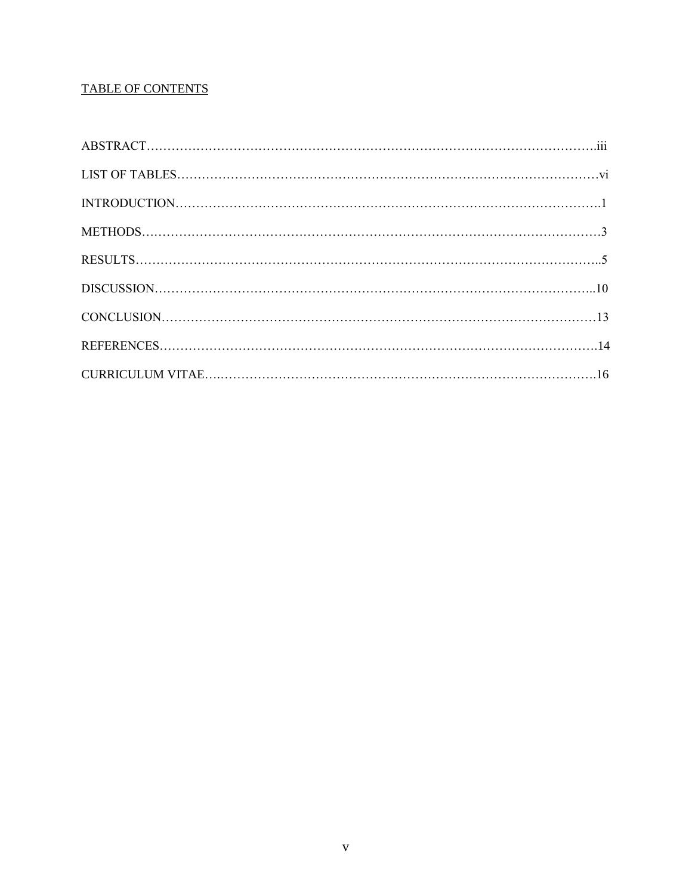## **TABLE OF CONTENTS**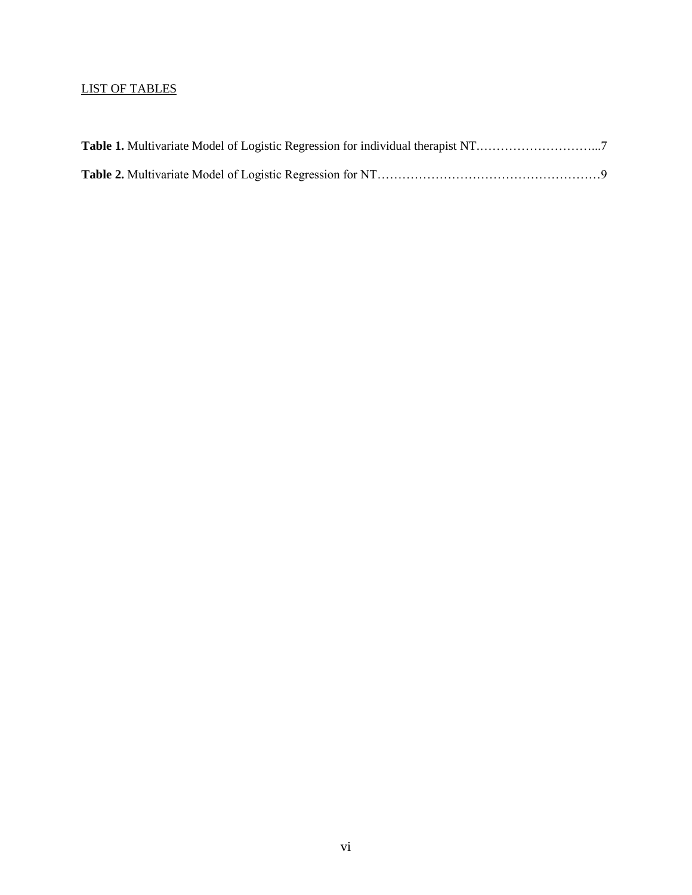## LIST OF TABLES

| Table 1. Multivariate Model of Logistic Regression for individual therapist NT7 |  |
|---------------------------------------------------------------------------------|--|
|                                                                                 |  |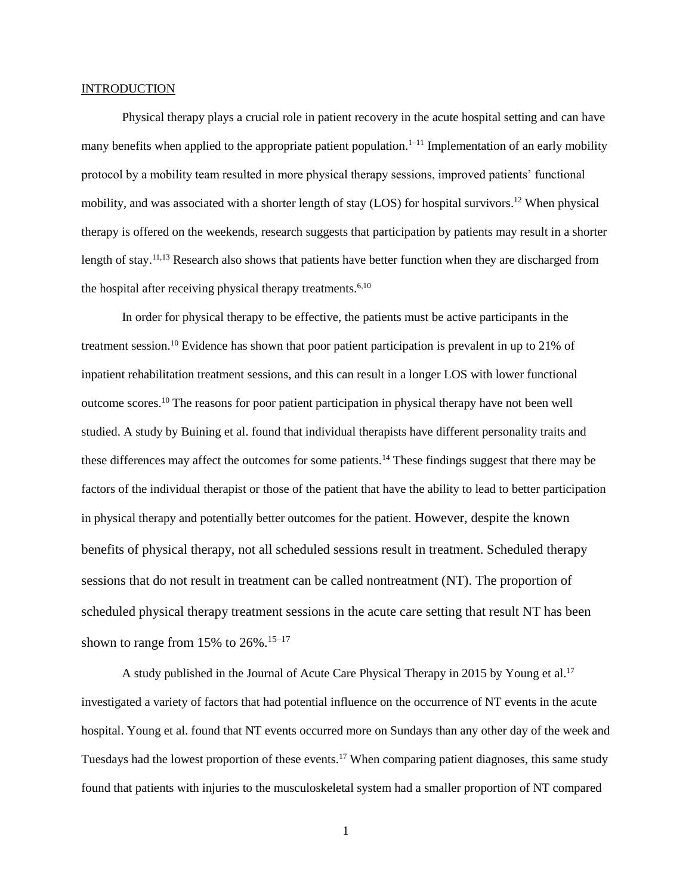#### **INTRODUCTION**

Physical therapy plays a crucial role in patient recovery in the acute hospital setting and can have many benefits when applied to the appropriate patient population.<sup>1–11</sup> Implementation of an early mobility protocol by a mobility team resulted in more physical therapy sessions, improved patients' functional mobility, and was associated with a shorter length of stay (LOS) for hospital survivors.<sup>12</sup> When physical therapy is offered on the weekends, research suggests that participation by patients may result in a shorter length of stay.<sup>11,13</sup> Research also shows that patients have better function when they are discharged from the hospital after receiving physical therapy treatments.<sup> $6,10$ </sup>

In order for physical therapy to be effective, the patients must be active participants in the treatment session.<sup>10</sup> Evidence has shown that poor patient participation is prevalent in up to 21% of inpatient rehabilitation treatment sessions, and this can result in a longer LOS with lower functional outcome scores.<sup>10</sup> The reasons for poor patient participation in physical therapy have not been well studied. A study by Buining et al. found that individual therapists have different personality traits and these differences may affect the outcomes for some patients.<sup>14</sup> These findings suggest that there may be factors of the individual therapist or those of the patient that have the ability to lead to better participation in physical therapy and potentially better outcomes for the patient. However, despite the known benefits of physical therapy, not all scheduled sessions result in treatment. Scheduled therapy sessions that do not result in treatment can be called nontreatment (NT). The proportion of scheduled physical therapy treatment sessions in the acute care setting that result NT has been shown to range from 15% to  $26\%$ .<sup>15–17</sup>

A study published in the Journal of Acute Care Physical Therapy in 2015 by Young et al.<sup>17</sup> investigated a variety of factors that had potential influence on the occurrence of NT events in the acute hospital. Young et al. found that NT events occurred more on Sundays than any other day of the week and Tuesdays had the lowest proportion of these events.<sup>17</sup> When comparing patient diagnoses, this same study found that patients with injuries to the musculoskeletal system had a smaller proportion of NT compared

1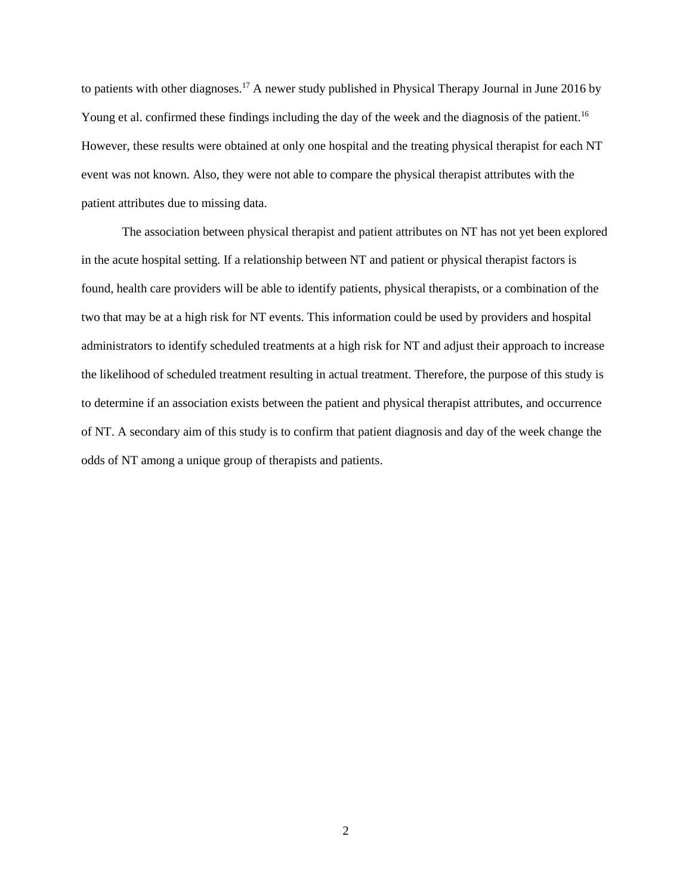to patients with other diagnoses.<sup>17</sup> A newer study published in Physical Therapy Journal in June 2016 by Young et al. confirmed these findings including the day of the week and the diagnosis of the patient.<sup>16</sup> However, these results were obtained at only one hospital and the treating physical therapist for each NT event was not known. Also, they were not able to compare the physical therapist attributes with the patient attributes due to missing data.

The association between physical therapist and patient attributes on NT has not yet been explored in the acute hospital setting. If a relationship between NT and patient or physical therapist factors is found, health care providers will be able to identify patients, physical therapists, or a combination of the two that may be at a high risk for NT events. This information could be used by providers and hospital administrators to identify scheduled treatments at a high risk for NT and adjust their approach to increase the likelihood of scheduled treatment resulting in actual treatment. Therefore, the purpose of this study is to determine if an association exists between the patient and physical therapist attributes, and occurrence of NT. A secondary aim of this study is to confirm that patient diagnosis and day of the week change the odds of NT among a unique group of therapists and patients.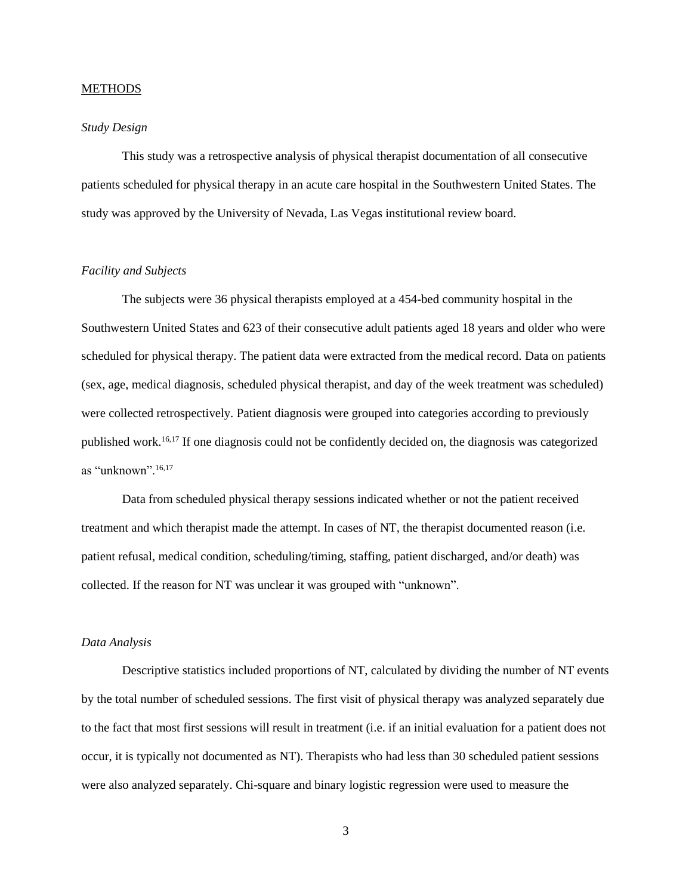#### **METHODS**

#### *Study Design*

This study was a retrospective analysis of physical therapist documentation of all consecutive patients scheduled for physical therapy in an acute care hospital in the Southwestern United States. The study was approved by the University of Nevada, Las Vegas institutional review board.

#### *Facility and Subjects*

The subjects were 36 physical therapists employed at a 454-bed community hospital in the Southwestern United States and 623 of their consecutive adult patients aged 18 years and older who were scheduled for physical therapy. The patient data were extracted from the medical record. Data on patients (sex, age, medical diagnosis, scheduled physical therapist, and day of the week treatment was scheduled) were collected retrospectively. Patient diagnosis were grouped into categories according to previously published work.16,17 If one diagnosis could not be confidently decided on, the diagnosis was categorized as "unknown".16,17

Data from scheduled physical therapy sessions indicated whether or not the patient received treatment and which therapist made the attempt. In cases of NT, the therapist documented reason (i.e. patient refusal, medical condition, scheduling/timing, staffing, patient discharged, and/or death) was collected. If the reason for NT was unclear it was grouped with "unknown".

#### *Data Analysis*

Descriptive statistics included proportions of NT, calculated by dividing the number of NT events by the total number of scheduled sessions. The first visit of physical therapy was analyzed separately due to the fact that most first sessions will result in treatment (i.e. if an initial evaluation for a patient does not occur, it is typically not documented as NT). Therapists who had less than 30 scheduled patient sessions were also analyzed separately. Chi-square and binary logistic regression were used to measure the

3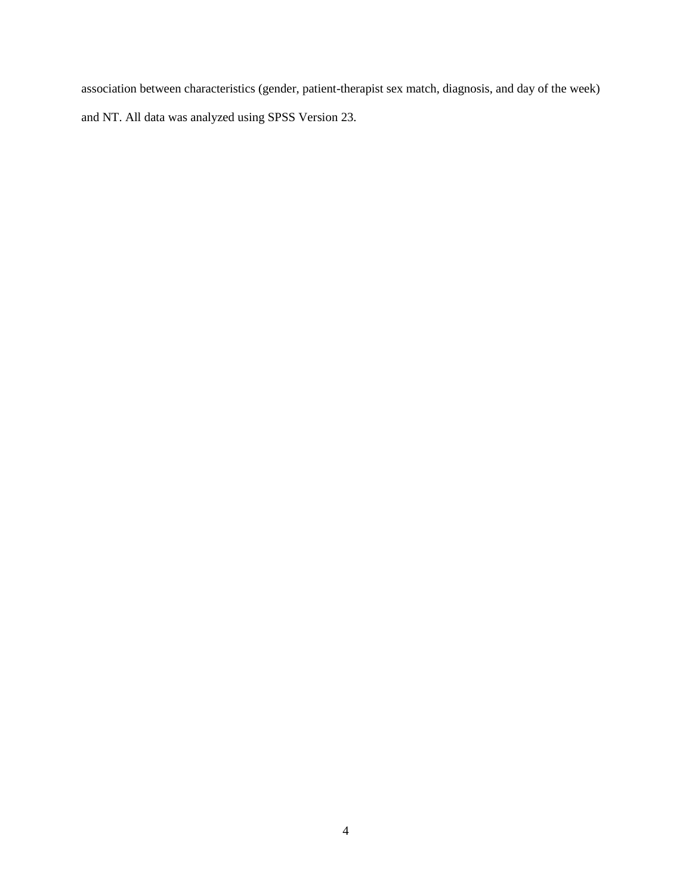association between characteristics (gender, patient-therapist sex match, diagnosis, and day of the week) and NT. All data was analyzed using SPSS Version 23.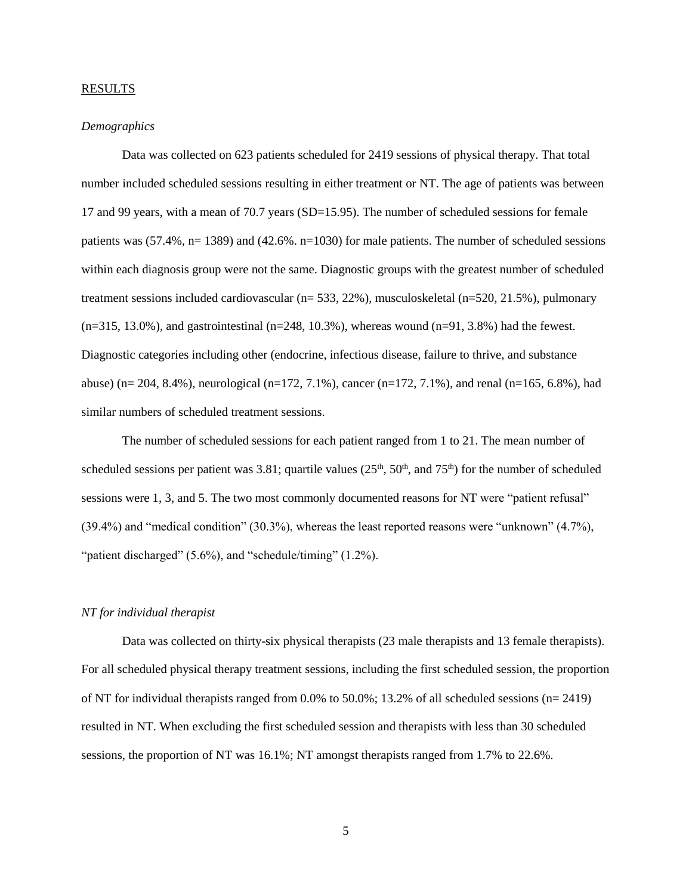#### **RESULTS**

#### *Demographics*

Data was collected on 623 patients scheduled for 2419 sessions of physical therapy. That total number included scheduled sessions resulting in either treatment or NT. The age of patients was between 17 and 99 years, with a mean of 70.7 years (SD=15.95). The number of scheduled sessions for female patients was  $(57.4\%, n= 1389)$  and  $(42.6\%, n=1030)$  for male patients. The number of scheduled sessions within each diagnosis group were not the same. Diagnostic groups with the greatest number of scheduled treatment sessions included cardiovascular (n= 533, 22%), musculoskeletal (n=520, 21.5%), pulmonary  $(n=315, 13.0\%)$ , and gastrointestinal  $(n=248, 10.3\%)$ , whereas wound  $(n=91, 3.8\%)$  had the fewest. Diagnostic categories including other (endocrine, infectious disease, failure to thrive, and substance abuse) (n= 204, 8.4%), neurological (n=172, 7.1%), cancer (n=172, 7.1%), and renal (n=165, 6.8%), had similar numbers of scheduled treatment sessions.

The number of scheduled sessions for each patient ranged from 1 to 21. The mean number of scheduled sessions per patient was 3.81; quartile values  $(25<sup>th</sup>, 50<sup>th</sup>,$  and  $75<sup>th</sup>$ ) for the number of scheduled sessions were 1, 3, and 5. The two most commonly documented reasons for NT were "patient refusal" (39.4%) and "medical condition" (30.3%), whereas the least reported reasons were "unknown" (4.7%), "patient discharged" (5.6%), and "schedule/timing" (1.2%).

#### *NT for individual therapist*

Data was collected on thirty-six physical therapists (23 male therapists and 13 female therapists). For all scheduled physical therapy treatment sessions, including the first scheduled session, the proportion of NT for individual therapists ranged from 0.0% to 50.0%; 13.2% of all scheduled sessions (n= 2419) resulted in NT. When excluding the first scheduled session and therapists with less than 30 scheduled sessions, the proportion of NT was 16.1%; NT amongst therapists ranged from 1.7% to 22.6%.

5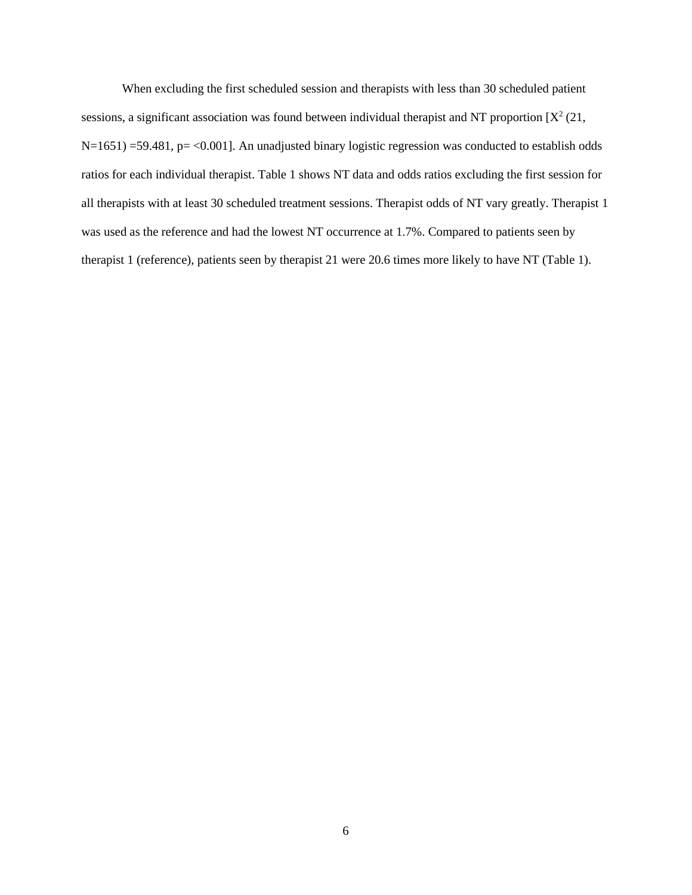When excluding the first scheduled session and therapists with less than 30 scheduled patient sessions, a significant association was found between individual therapist and NT proportion  $[X^2(21,$ N=1651) =59.481, p= <0.001]. An unadjusted binary logistic regression was conducted to establish odds ratios for each individual therapist. Table 1 shows NT data and odds ratios excluding the first session for all therapists with at least 30 scheduled treatment sessions. Therapist odds of NT vary greatly. Therapist 1 was used as the reference and had the lowest NT occurrence at 1.7%. Compared to patients seen by therapist 1 (reference), patients seen by therapist 21 were 20.6 times more likely to have NT (Table 1).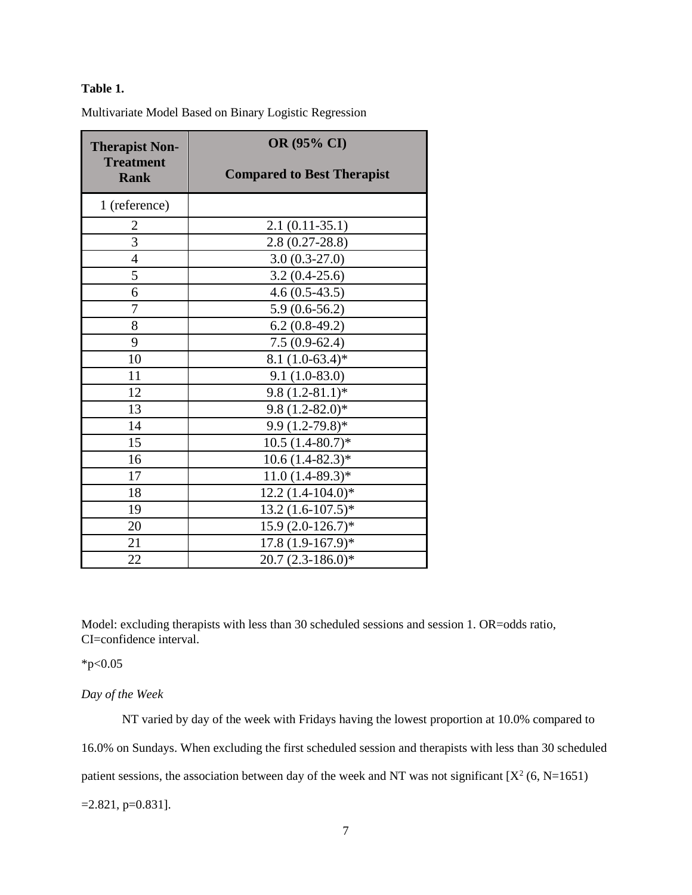## **Table 1.**

Multivariate Model Based on Binary Logistic Regression

| <b>Therapist Non-</b>           | <b>OR (95% CI)</b>                |
|---------------------------------|-----------------------------------|
| <b>Treatment</b><br><b>Rank</b> | <b>Compared to Best Therapist</b> |
| 1 (reference)                   |                                   |
| $\overline{2}$                  | $2.1(0.11-35.1)$                  |
| 3                               | $2.8(0.27-28.8)$                  |
| $\overline{4}$                  | $3.0(0.3-27.0)$                   |
| 5                               | $3.2(0.4-25.6)$                   |
| 6                               | $4.6(0.5-43.5)$                   |
| 7                               | $5.9(0.6-56.2)$                   |
| 8                               | $6.2(0.8-49.2)$                   |
| 9                               | $7.5(0.9-62.4)$                   |
| 10                              | $8.1 (1.0-63.4)$ *                |
| 11                              | $9.1(1.0-83.0)$                   |
| 12                              | $9.8(1.2-81.1)*$                  |
| 13                              | $9.8(1.2-82.0)*$                  |
| 14                              | $9.9(1.2-79.8)*$                  |
| 15                              | $10.5(1.4-80.7)$ *                |
| 16                              | $10.6(1.4-82.3)*$                 |
| 17                              | $11.0(1.4-89.3)*$                 |
| 18                              | 12.2 (1.4-104.0)*                 |
| 19                              | $13.2 (1.6 - 107.5)^*$            |
| 20                              | $15.9(2.0-126.7)$ *               |
| 21                              | $17.8(1.9-167.9)*$                |
| 22                              | $20.7(2.3-186.0)*$                |

Model: excluding therapists with less than 30 scheduled sessions and session 1. OR=odds ratio, CI=confidence interval.

 $*p<0.05$ 

#### *Day of the Week*

NT varied by day of the week with Fridays having the lowest proportion at 10.0% compared to 16.0% on Sundays. When excluding the first scheduled session and therapists with less than 30 scheduled patient sessions, the association between day of the week and NT was not significant  $[X^2(6, N=1651)]$  $=2.821, p=0.831$ ].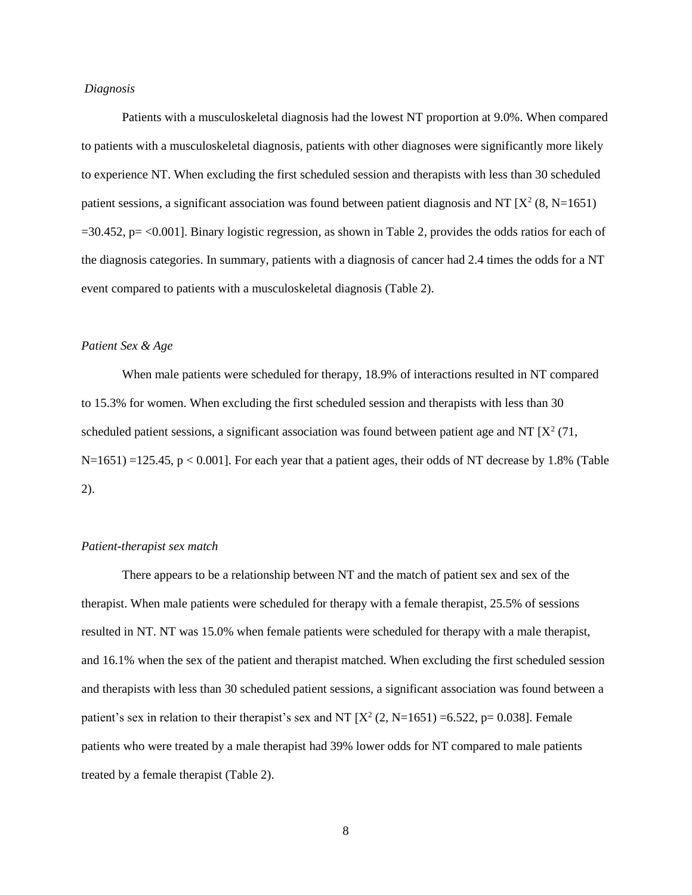#### *Diagnosis*

Patients with a musculoskeletal diagnosis had the lowest NT proportion at 9.0%. When compared to patients with a musculoskeletal diagnosis, patients with other diagnoses were significantly more likely to experience NT. When excluding the first scheduled session and therapists with less than 30 scheduled patient sessions, a significant association was found between patient diagnosis and NT  $[X^2(8, N=1651)$  $=30.452$ , p $=$  <0.001]. Binary logistic regression, as shown in Table 2, provides the odds ratios for each of the diagnosis categories. In summary, patients with a diagnosis of cancer had 2.4 times the odds for a NT event compared to patients with a musculoskeletal diagnosis (Table 2).

#### *Patient Sex & Age*

When male patients were scheduled for therapy, 18.9% of interactions resulted in NT compared to 15.3% for women. When excluding the first scheduled session and therapists with less than 30 scheduled patient sessions, a significant association was found between patient age and NT  $[X^2(71,$ N=1651) =125.45, p < 0.001]. For each year that a patient ages, their odds of NT decrease by 1.8% (Table 2).

#### *Patient-therapist sex match*

There appears to be a relationship between NT and the match of patient sex and sex of the therapist. When male patients were scheduled for therapy with a female therapist, 25.5% of sessions resulted in NT. NT was 15.0% when female patients were scheduled for therapy with a male therapist, and 16.1% when the sex of the patient and therapist matched. When excluding the first scheduled session and therapists with less than 30 scheduled patient sessions, a significant association was found between a patient's sex in relation to their therapist's sex and NT  $[X^2(2, N=1651) = 6.522$ , p= 0.038]. Female patients who were treated by a male therapist had 39% lower odds for NT compared to male patients treated by a female therapist (Table 2).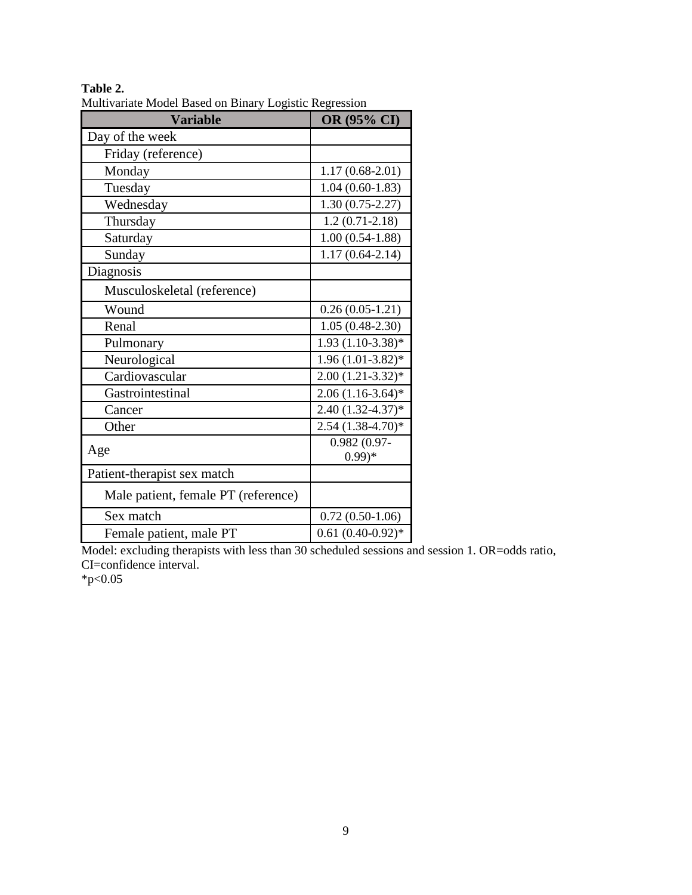| <b>Variable</b>                     | OR (95% CI)                 |
|-------------------------------------|-----------------------------|
| Day of the week                     |                             |
| Friday (reference)                  |                             |
| Monday                              | $1.17(0.68-2.01)$           |
| Tuesday                             | $1.04(0.60-1.83)$           |
| Wednesday                           | $1.30(0.75-2.27)$           |
| Thursday                            | $1.2(0.71-2.18)$            |
| Saturday                            | $1.00(0.54-1.88)$           |
| Sunday                              | $1.17(0.64 - 2.14)$         |
| Diagnosis                           |                             |
| Musculoskeletal (reference)         |                             |
| Wound                               | $0.26(0.05-1.21)$           |
| Renal                               | $1.05(0.48-2.30)$           |
| Pulmonary                           | 1.93 (1.10-3.38)*           |
| Neurological                        | $1.96(1.01-3.82)*$          |
| Cardiovascular                      | $2.00(1.21-3.32)*$          |
| Gastrointestinal                    | $2.06(1.16-3.64)$ *         |
| Cancer                              | $2.40(1.32 - 4.37)*$        |
| Other                               | $2.54(1.38-4.70)*$          |
| Age                                 | $0.982(0.97 -$<br>$(0.99)*$ |
| Patient-therapist sex match         |                             |
| Male patient, female PT (reference) |                             |
| Sex match                           | $0.72(0.50-1.06)$           |
| Female patient, male PT             | $0.61(0.40-0.92)$ *         |

**Table 2.** Multivariate Model Based on Binary Logistic Regression

Model: excluding therapists with less than 30 scheduled sessions and session 1. OR=odds ratio, CI=confidence interval.

 $*p<0.05$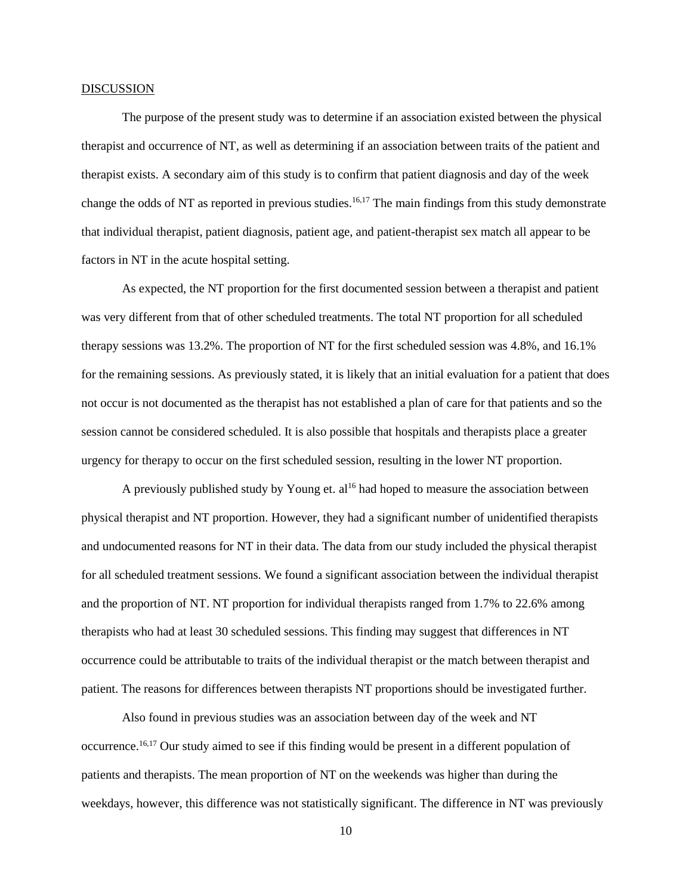#### DISCUSSION

The purpose of the present study was to determine if an association existed between the physical therapist and occurrence of NT, as well as determining if an association between traits of the patient and therapist exists. A secondary aim of this study is to confirm that patient diagnosis and day of the week change the odds of NT as reported in previous studies.<sup>16,17</sup> The main findings from this study demonstrate that individual therapist, patient diagnosis, patient age, and patient-therapist sex match all appear to be factors in NT in the acute hospital setting.

As expected, the NT proportion for the first documented session between a therapist and patient was very different from that of other scheduled treatments. The total NT proportion for all scheduled therapy sessions was 13.2%. The proportion of NT for the first scheduled session was 4.8%, and 16.1% for the remaining sessions. As previously stated, it is likely that an initial evaluation for a patient that does not occur is not documented as the therapist has not established a plan of care for that patients and so the session cannot be considered scheduled. It is also possible that hospitals and therapists place a greater urgency for therapy to occur on the first scheduled session, resulting in the lower NT proportion.

A previously published study by Young et.  $al^{16}$  had hoped to measure the association between physical therapist and NT proportion. However, they had a significant number of unidentified therapists and undocumented reasons for NT in their data. The data from our study included the physical therapist for all scheduled treatment sessions. We found a significant association between the individual therapist and the proportion of NT. NT proportion for individual therapists ranged from 1.7% to 22.6% among therapists who had at least 30 scheduled sessions. This finding may suggest that differences in NT occurrence could be attributable to traits of the individual therapist or the match between therapist and patient. The reasons for differences between therapists NT proportions should be investigated further.

Also found in previous studies was an association between day of the week and NT occurrence.16,17 Our study aimed to see if this finding would be present in a different population of patients and therapists. The mean proportion of NT on the weekends was higher than during the weekdays, however, this difference was not statistically significant. The difference in NT was previously

10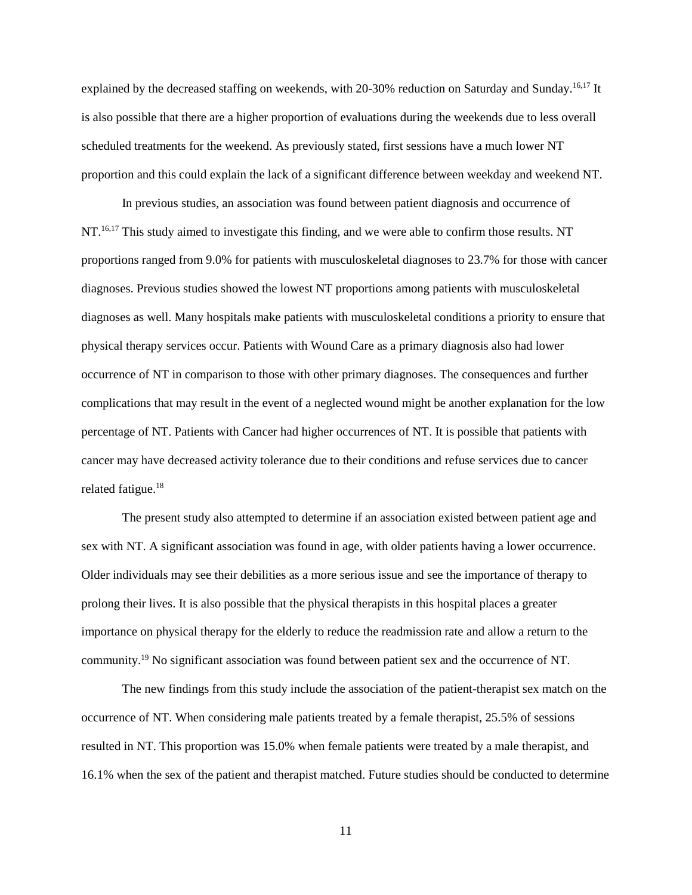explained by the decreased staffing on weekends, with 20-30% reduction on Saturday and Sunday.<sup>16,17</sup> It is also possible that there are a higher proportion of evaluations during the weekends due to less overall scheduled treatments for the weekend. As previously stated, first sessions have a much lower NT proportion and this could explain the lack of a significant difference between weekday and weekend NT.

In previous studies, an association was found between patient diagnosis and occurrence of NT.<sup>16,17</sup> This study aimed to investigate this finding, and we were able to confirm those results. NT proportions ranged from 9.0% for patients with musculoskeletal diagnoses to 23.7% for those with cancer diagnoses. Previous studies showed the lowest NT proportions among patients with musculoskeletal diagnoses as well. Many hospitals make patients with musculoskeletal conditions a priority to ensure that physical therapy services occur. Patients with Wound Care as a primary diagnosis also had lower occurrence of NT in comparison to those with other primary diagnoses. The consequences and further complications that may result in the event of a neglected wound might be another explanation for the low percentage of NT. Patients with Cancer had higher occurrences of NT. It is possible that patients with cancer may have decreased activity tolerance due to their conditions and refuse services due to cancer related fatigue. 18

The present study also attempted to determine if an association existed between patient age and sex with NT. A significant association was found in age, with older patients having a lower occurrence. Older individuals may see their debilities as a more serious issue and see the importance of therapy to prolong their lives. It is also possible that the physical therapists in this hospital places a greater importance on physical therapy for the elderly to reduce the readmission rate and allow a return to the community. <sup>19</sup> No significant association was found between patient sex and the occurrence of NT.

The new findings from this study include the association of the patient-therapist sex match on the occurrence of NT. When considering male patients treated by a female therapist, 25.5% of sessions resulted in NT. This proportion was 15.0% when female patients were treated by a male therapist, and 16.1% when the sex of the patient and therapist matched. Future studies should be conducted to determine

11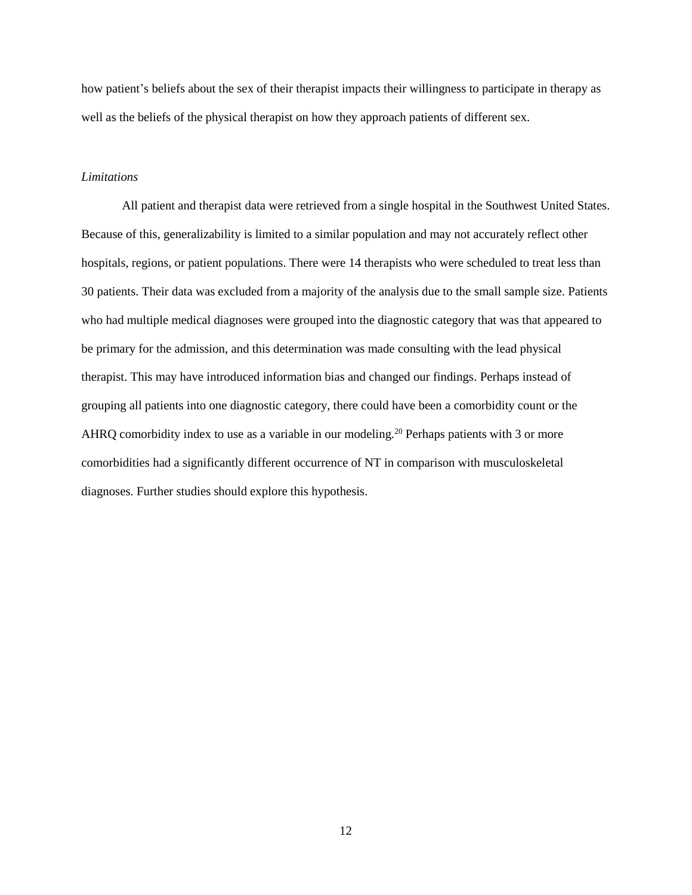how patient's beliefs about the sex of their therapist impacts their willingness to participate in therapy as well as the beliefs of the physical therapist on how they approach patients of different sex.

#### *Limitations*

All patient and therapist data were retrieved from a single hospital in the Southwest United States. Because of this, generalizability is limited to a similar population and may not accurately reflect other hospitals, regions, or patient populations. There were 14 therapists who were scheduled to treat less than 30 patients. Their data was excluded from a majority of the analysis due to the small sample size. Patients who had multiple medical diagnoses were grouped into the diagnostic category that was that appeared to be primary for the admission, and this determination was made consulting with the lead physical therapist. This may have introduced information bias and changed our findings. Perhaps instead of grouping all patients into one diagnostic category, there could have been a comorbidity count or the AHRQ comorbidity index to use as a variable in our modeling.<sup>20</sup> Perhaps patients with 3 or more comorbidities had a significantly different occurrence of NT in comparison with musculoskeletal diagnoses. Further studies should explore this hypothesis.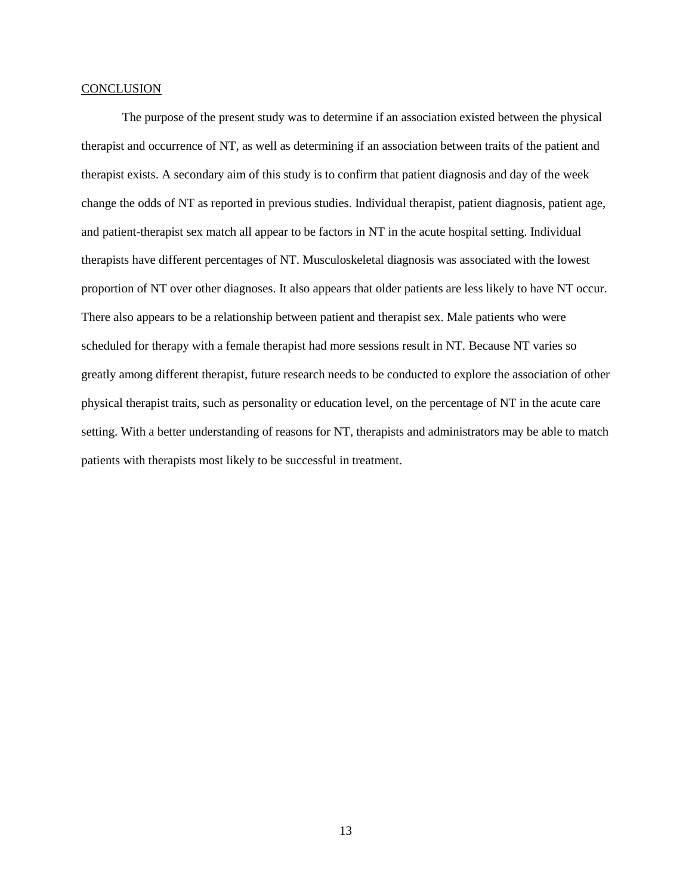#### **CONCLUSION**

The purpose of the present study was to determine if an association existed between the physical therapist and occurrence of NT, as well as determining if an association between traits of the patient and therapist exists. A secondary aim of this study is to confirm that patient diagnosis and day of the week change the odds of NT as reported in previous studies. Individual therapist, patient diagnosis, patient age, and patient-therapist sex match all appear to be factors in NT in the acute hospital setting. Individual therapists have different percentages of NT. Musculoskeletal diagnosis was associated with the lowest proportion of NT over other diagnoses. It also appears that older patients are less likely to have NT occur. There also appears to be a relationship between patient and therapist sex. Male patients who were scheduled for therapy with a female therapist had more sessions result in NT. Because NT varies so greatly among different therapist, future research needs to be conducted to explore the association of other physical therapist traits, such as personality or education level, on the percentage of NT in the acute care setting. With a better understanding of reasons for NT, therapists and administrators may be able to match patients with therapists most likely to be successful in treatment.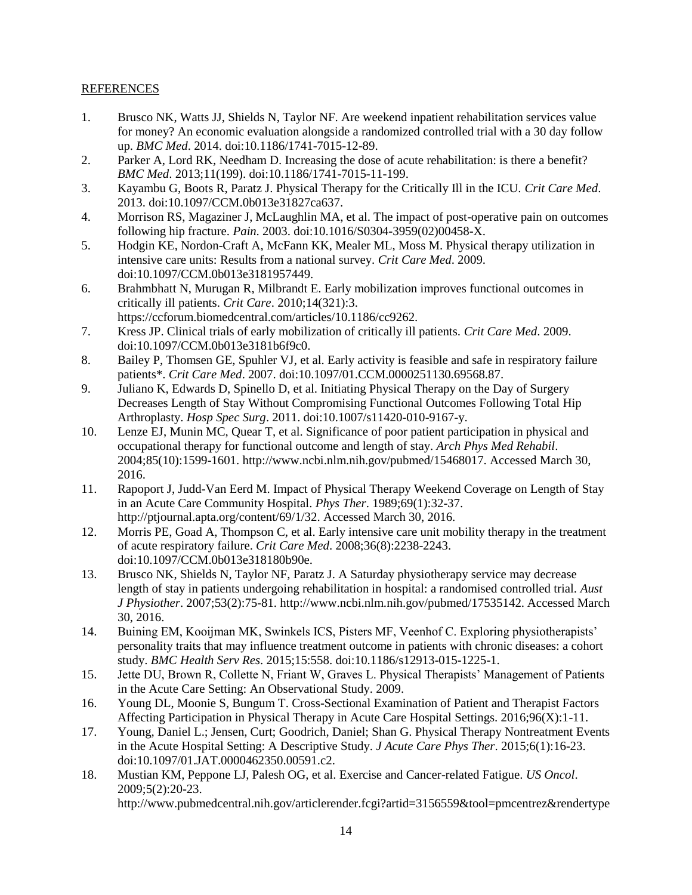### REFERENCES

- 1. Brusco NK, Watts JJ, Shields N, Taylor NF. Are weekend inpatient rehabilitation services value for money? An economic evaluation alongside a randomized controlled trial with a 30 day follow up. *BMC Med*. 2014. doi:10.1186/1741-7015-12-89.
- 2. Parker A, Lord RK, Needham D. Increasing the dose of acute rehabilitation: is there a benefit? *BMC Med*. 2013;11(199). doi:10.1186/1741-7015-11-199.
- 3. Kayambu G, Boots R, Paratz J. Physical Therapy for the Critically Ill in the ICU. *Crit Care Med*. 2013. doi:10.1097/CCM.0b013e31827ca637.
- 4. Morrison RS, Magaziner J, McLaughlin MA, et al. The impact of post-operative pain on outcomes following hip fracture. *Pain*. 2003. doi:10.1016/S0304-3959(02)00458-X.
- 5. Hodgin KE, Nordon-Craft A, McFann KK, Mealer ML, Moss M. Physical therapy utilization in intensive care units: Results from a national survey. *Crit Care Med*. 2009. doi:10.1097/CCM.0b013e3181957449.
- 6. Brahmbhatt N, Murugan R, Milbrandt E. Early mobilization improves functional outcomes in critically ill patients. *Crit Care*. 2010;14(321):3.
- https://ccforum.biomedcentral.com/articles/10.1186/cc9262. 7. Kress JP. Clinical trials of early mobilization of critically ill patients. *Crit Care Med*. 2009. doi:10.1097/CCM.0b013e3181b6f9c0.
- 8. Bailey P, Thomsen GE, Spuhler VJ, et al. Early activity is feasible and safe in respiratory failure patients\*. *Crit Care Med*. 2007. doi:10.1097/01.CCM.0000251130.69568.87.
- 9. Juliano K, Edwards D, Spinello D, et al. Initiating Physical Therapy on the Day of Surgery Decreases Length of Stay Without Compromising Functional Outcomes Following Total Hip Arthroplasty. *Hosp Spec Surg*. 2011. doi:10.1007/s11420-010-9167-y.
- 10. Lenze EJ, Munin MC, Quear T, et al. Significance of poor patient participation in physical and occupational therapy for functional outcome and length of stay. *Arch Phys Med Rehabil*. 2004;85(10):1599-1601. http://www.ncbi.nlm.nih.gov/pubmed/15468017. Accessed March 30, 2016.
- 11. Rapoport J, Judd-Van Eerd M. Impact of Physical Therapy Weekend Coverage on Length of Stay in an Acute Care Community Hospital. *Phys Ther*. 1989;69(1):32-37. http://ptjournal.apta.org/content/69/1/32. Accessed March 30, 2016.
- 12. Morris PE, Goad A, Thompson C, et al. Early intensive care unit mobility therapy in the treatment of acute respiratory failure. *Crit Care Med*. 2008;36(8):2238-2243. doi:10.1097/CCM.0b013e318180b90e.
- 13. Brusco NK, Shields N, Taylor NF, Paratz J. A Saturday physiotherapy service may decrease length of stay in patients undergoing rehabilitation in hospital: a randomised controlled trial. *Aust J Physiother*. 2007;53(2):75-81. http://www.ncbi.nlm.nih.gov/pubmed/17535142. Accessed March 30, 2016.
- 14. Buining EM, Kooijman MK, Swinkels ICS, Pisters MF, Veenhof C. Exploring physiotherapists' personality traits that may influence treatment outcome in patients with chronic diseases: a cohort study. *BMC Health Serv Res*. 2015;15:558. doi:10.1186/s12913-015-1225-1.
- 15. Jette DU, Brown R, Collette N, Friant W, Graves L. Physical Therapists' Management of Patients in the Acute Care Setting: An Observational Study. 2009.
- 16. Young DL, Moonie S, Bungum T. Cross-Sectional Examination of Patient and Therapist Factors Affecting Participation in Physical Therapy in Acute Care Hospital Settings. 2016;96(X):1-11.
- 17. Young, Daniel L.; Jensen, Curt; Goodrich, Daniel; Shan G. Physical Therapy Nontreatment Events in the Acute Hospital Setting: A Descriptive Study. *J Acute Care Phys Ther*. 2015;6(1):16-23. doi:10.1097/01.JAT.0000462350.00591.c2.
- 18. Mustian KM, Peppone LJ, Palesh OG, et al. Exercise and Cancer-related Fatigue. *US Oncol*. 2009;5(2):20-23.

http://www.pubmedcentral.nih.gov/articlerender.fcgi?artid=3156559&tool=pmcentrez&rendertype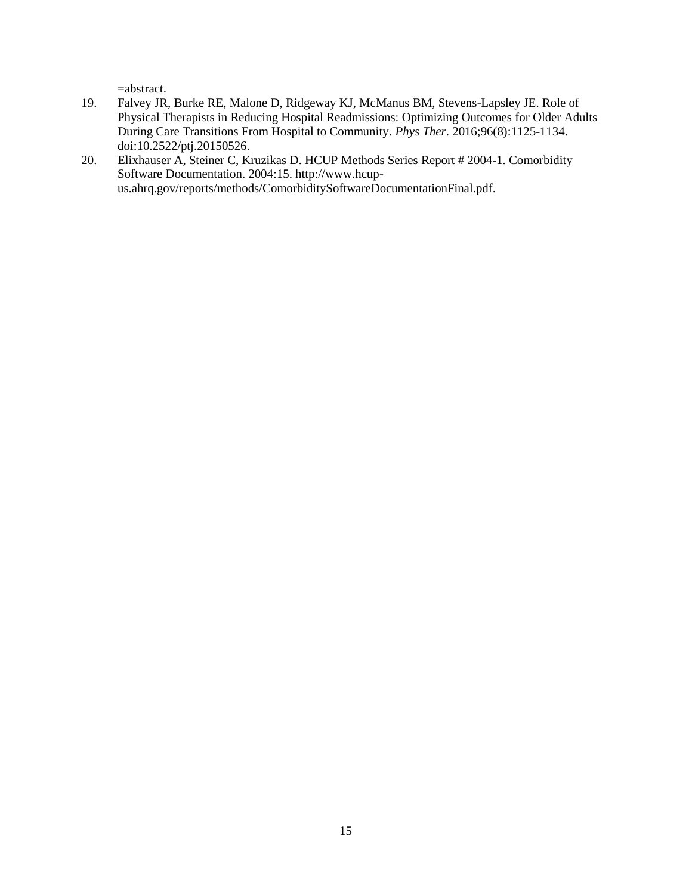=abstract.

- 19. Falvey JR, Burke RE, Malone D, Ridgeway KJ, McManus BM, Stevens-Lapsley JE. Role of Physical Therapists in Reducing Hospital Readmissions: Optimizing Outcomes for Older Adults During Care Transitions From Hospital to Community. *Phys Ther*. 2016;96(8):1125-1134. doi:10.2522/ptj.20150526.
- 20. Elixhauser A, Steiner C, Kruzikas D. HCUP Methods Series Report # 2004-1. Comorbidity Software Documentation. 2004:15. http://www.hcupus.ahrq.gov/reports/methods/ComorbiditySoftwareDocumentationFinal.pdf.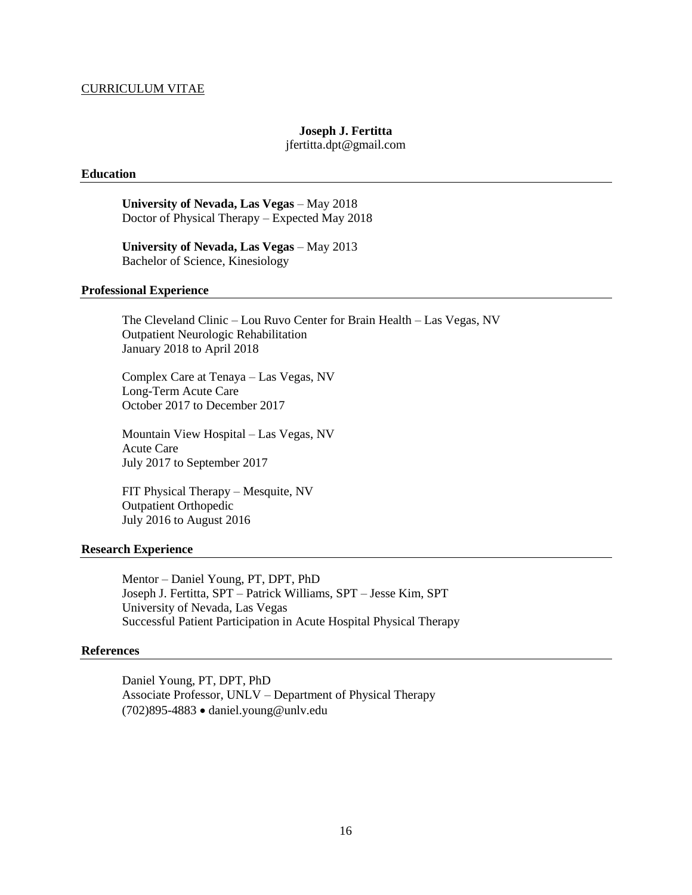#### CURRICULUM VITAE

#### **Joseph J. Fertitta** jfertitta.dpt@gmail.com

#### **Education**

**University of Nevada, Las Vegas** – May 2018 Doctor of Physical Therapy – Expected May 2018

**University of Nevada, Las Vegas** – May 2013 Bachelor of Science, Kinesiology

#### **Professional Experience**

The Cleveland Clinic – Lou Ruvo Center for Brain Health – Las Vegas, NV Outpatient Neurologic Rehabilitation January 2018 to April 2018

Complex Care at Tenaya – Las Vegas, NV Long-Term Acute Care October 2017 to December 2017

Mountain View Hospital – Las Vegas, NV Acute Care July 2017 to September 2017

FIT Physical Therapy – Mesquite, NV Outpatient Orthopedic July 2016 to August 2016

#### **Research Experience**

Mentor – Daniel Young, PT, DPT, PhD Joseph J. Fertitta, SPT – Patrick Williams, SPT – Jesse Kim, SPT University of Nevada, Las Vegas Successful Patient Participation in Acute Hospital Physical Therapy

#### **References**

Daniel Young, PT, DPT, PhD Associate Professor, UNLV – Department of Physical Therapy  $(702)895-4883$  • daniel.young@unly.edu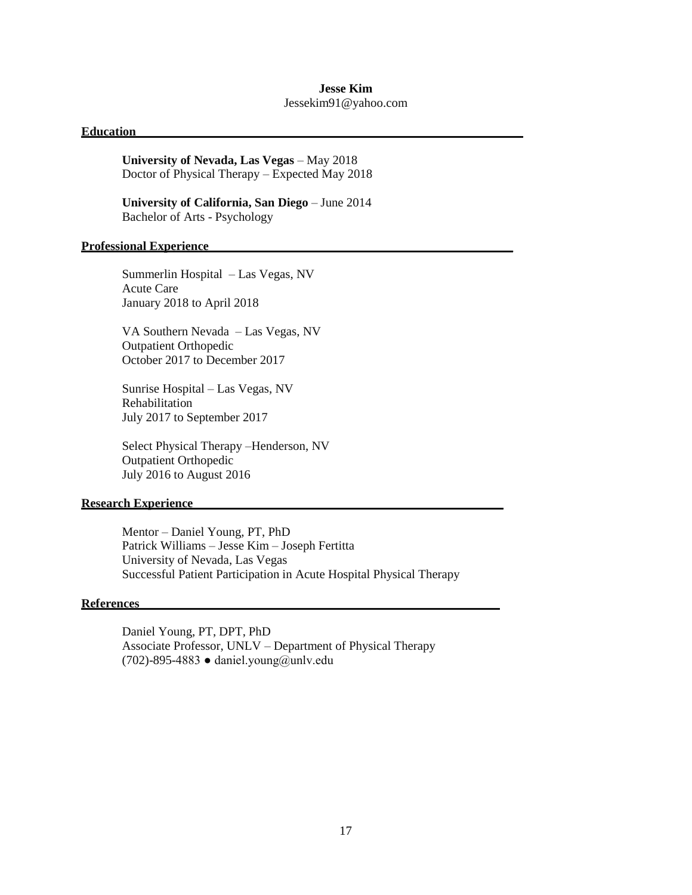## **Jesse Kim**

Jessekim91@yahoo.com

#### **Education \_\_\_\_\_\_\_\_\_\_\_\_\_\_\_\_\_\_\_\_\_\_\_\_\_\_\_\_\_\_\_\_\_\_\_\_\_\_\_\_\_\_\_\_\_\_\_\_\_\_\_\_\_\_\_\_\_\_**

**University of Nevada, Las Vegas** – May 2018 Doctor of Physical Therapy – Expected May 2018

**University of California, San Diego** – June 2014 Bachelor of Arts - Psychology

#### **Professional Experience\_\_\_\_\_\_\_\_\_\_\_\_\_\_\_\_\_\_\_\_\_\_\_\_\_\_\_\_\_\_\_\_\_\_\_\_\_\_\_\_\_\_\_\_\_\_\_\_\_**

Summerlin Hospital – Las Vegas, NV Acute Care January 2018 to April 2018

VA Southern Nevada – Las Vegas, NV Outpatient Orthopedic October 2017 to December 2017

Sunrise Hospital – Las Vegas, NV Rehabilitation July 2017 to September 2017

Select Physical Therapy –Henderson, NV Outpatient Orthopedic July 2016 to August 2016

#### **Research Experience\_\_\_\_\_\_\_\_\_\_\_\_\_\_\_\_\_\_\_\_\_\_\_\_\_\_\_\_\_\_\_\_\_\_\_\_\_\_\_\_\_\_\_\_\_\_\_\_\_\_**

Mentor – Daniel Young, PT, PhD Patrick Williams – Jesse Kim – Joseph Fertitta University of Nevada, Las Vegas Successful Patient Participation in Acute Hospital Physical Therapy

#### **References\_\_\_\_\_\_\_\_\_\_\_\_\_\_\_\_\_\_\_\_\_\_\_\_\_\_\_\_\_\_\_\_\_\_\_\_\_\_\_\_\_\_\_\_\_\_\_\_\_\_\_\_\_\_\_\_\_\_**

Daniel Young, PT, DPT, PhD Associate Professor, UNLV – Department of Physical Therapy (702)-895-4883 ● daniel.young@unlv.edu